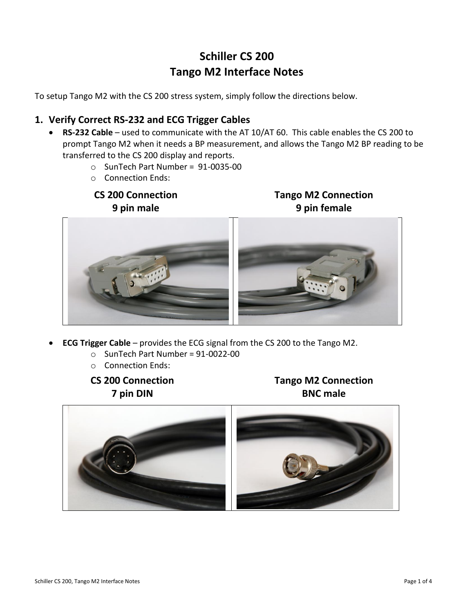# **Schiller CS 200 Tango M2 Interface Notes**

To setup Tango M2 with the CS 200 stress system, simply follow the directions below.

# **1. Verify Correct RS-232 and ECG Trigger Cables**

- **RS-232 Cable** used to communicate with the AT 10/AT 60. This cable enables the CS 200 to prompt Tango M2 when it needs a BP measurement, and allows the Tango M2 BP reading to be transferred to the CS 200 display and reports.
	- o SunTech Part Number = 91-0035-00
	- o Connection Ends:

# **CS 200 Connection 9 pin male**

**Tango M2 Connection 9 pin female**



- **ECG Trigger Cable** provides the ECG signal from the CS 200 to the Tango M2.
	- $\circ$  SunTech Part Number = 91-0022-00
	- o Connection Ends:
	- **CS 200 Connection 7 pin DIN**

**Tango M2 Connection BNC male**

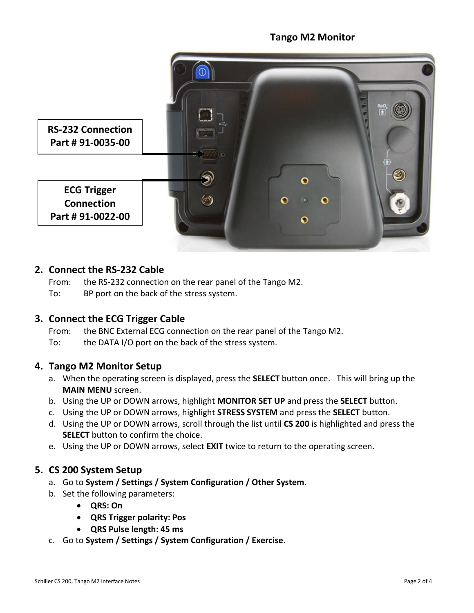## **Tango M2 Monitor**



## **2. Connect the RS-232 Cable**

From: the RS-232 connection on the rear panel of the Tango M2.

To: BP port on the back of the stress system.

## **3. Connect the ECG Trigger Cable**

From: the BNC External ECG connection on the rear panel of the Tango M2. To: the DATA I/O port on the back of the stress system.

#### **4. Tango M2 Monitor Setup**

- a. When the operating screen is displayed, press the **SELECT** button once. This will bring up the **MAIN MENU** screen.
- b. Using the UP or DOWN arrows, highlight **MONITOR SET UP** and press the **SELECT** button.
- c. Using the UP or DOWN arrows, highlight **STRESS SYSTEM** and press the **SELECT** button.
- d. Using the UP or DOWN arrows, scroll through the list until **CS 200** is highlighted and press the **SELECT** button to confirm the choice.
- e. Using the UP or DOWN arrows, select **EXIT** twice to return to the operating screen.

## **5. CS 200 System Setup**

- a. Go to **System / Settings / System Configuration / Other System**.
- b. Set the following parameters:
	- **QRS: On**
	- **QRS Trigger polarity: Pos**
	- **QRS Pulse length: 45 ms**
- c. Go to **System / Settings / System Configuration / Exercise**.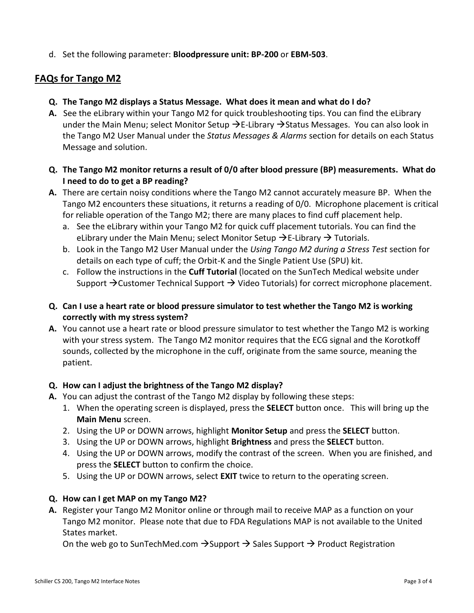d. Set the following parameter: **Bloodpressure unit: BP-200** or **EBM-503**.

# **FAQs for Tango M2**

- **Q. The Tango M2 displays a Status Message. What does it mean and what do I do?**
- **A.** See the eLibrary within your Tango M2 for quick troubleshooting tips. You can find the eLibrary under the Main Menu; select Monitor Setup  $\rightarrow$  E-Library  $\rightarrow$  Status Messages. You can also look in the Tango M2 User Manual under the *Status Messages & Alarms* section for details on each Status Message and solution.
- **Q. The Tango M2 monitor returns a result of 0/0 after blood pressure (BP) measurements. What do I need to do to get a BP reading?**
- **A.** There are certain noisy conditions where the Tango M2 cannot accurately measure BP. When the Tango M2 encounters these situations, it returns a reading of 0/0. Microphone placement is critical for reliable operation of the Tango M2; there are many places to find cuff placement help.
	- a. See the eLibrary within your Tango M2 for quick cuff placement tutorials. You can find the eLibrary under the Main Menu; select Monitor Setup  $\rightarrow$  E-Library  $\rightarrow$  Tutorials.
	- b. Look in the Tango M2 User Manual under the *Using Tango M2 during a Stress Test* section for details on each type of cuff; the Orbit-K and the Single Patient Use (SPU) kit.
	- c. Follow the instructions in the **Cuff Tutorial** (located on the SunTech Medical website under Support  $\rightarrow$  Customer Technical Support  $\rightarrow$  Video Tutorials) for correct microphone placement.
- **Q. Can I use a heart rate or blood pressure simulator to test whether the Tango M2 is working correctly with my stress system?**
- **A.** You cannot use a heart rate or blood pressure simulator to test whether the Tango M2 is working with your stress system. The Tango M2 monitor requires that the ECG signal and the Korotkoff sounds, collected by the microphone in the cuff, originate from the same source, meaning the patient.

## **Q. How can I adjust the brightness of the Tango M2 display?**

- **A.** You can adjust the contrast of the Tango M2 display by following these steps:
	- 1. When the operating screen is displayed, press the **SELECT** button once. This will bring up the **Main Menu** screen.
	- 2. Using the UP or DOWN arrows, highlight **Monitor Setup** and press the **SELECT** button.
	- 3. Using the UP or DOWN arrows, highlight **Brightness** and press the **SELECT** button.
	- 4. Using the UP or DOWN arrows, modify the contrast of the screen. When you are finished, and press the **SELECT** button to confirm the choice.
	- 5. Using the UP or DOWN arrows, select **EXIT** twice to return to the operating screen.

## **Q. How can I get MAP on my Tango M2?**

**A.** Register your Tango M2 Monitor online or through mail to receive MAP as a function on your Tango M2 monitor. Please note that due to FDA Regulations MAP is not available to the United States market.

On the web go to SunTechMed.com  $\rightarrow$  Support  $\rightarrow$  Sales Support  $\rightarrow$  Product Registration